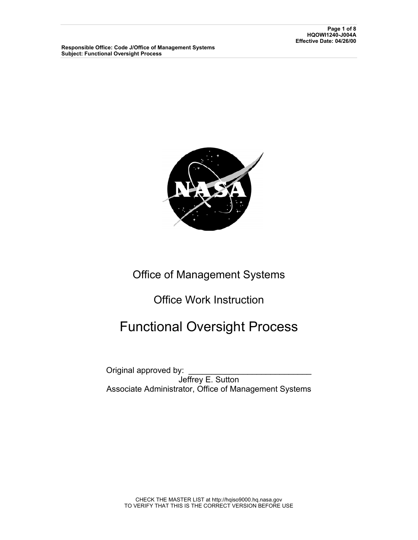

## Office of Management Systems

Office Work Instruction

## Functional Oversight Process

Original approved by: Jeffrey E. Sutton Associate Administrator, Office of Management Systems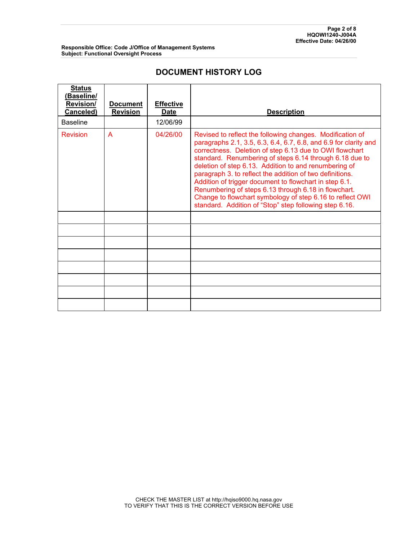### **DOCUMENT HISTORY LOG**

| <b>Status</b><br>(Baseline/<br><b>Revision/</b><br>Canceled) | <b>Document</b><br><b>Revision</b> | <b>Effective</b><br><b>Date</b> | <b>Description</b>                                                                                                                                                                                                                                                                                                                                                                                                                                                                                                                                                                                                |
|--------------------------------------------------------------|------------------------------------|---------------------------------|-------------------------------------------------------------------------------------------------------------------------------------------------------------------------------------------------------------------------------------------------------------------------------------------------------------------------------------------------------------------------------------------------------------------------------------------------------------------------------------------------------------------------------------------------------------------------------------------------------------------|
| <b>Baseline</b>                                              |                                    | 12/06/99                        |                                                                                                                                                                                                                                                                                                                                                                                                                                                                                                                                                                                                                   |
| <b>Revision</b>                                              | A                                  | 04/26/00                        | Revised to reflect the following changes. Modification of<br>paragraphs 2.1, 3.5, 6.3, 6.4, 6.7, 6.8, and 6.9 for clarity and<br>correctness. Deletion of step 6.13 due to OWI flowchart<br>standard. Renumbering of steps 6.14 through 6.18 due to<br>deletion of step 6.13. Addition to and renumbering of<br>paragraph 3. to reflect the addition of two definitions.<br>Addition of trigger document to flowchart in step 6.1.<br>Renumbering of steps 6.13 through 6.18 in flowchart.<br>Change to flowchart symbology of step 6.16 to reflect OWI<br>standard. Addition of "Stop" step following step 6.16. |
|                                                              |                                    |                                 |                                                                                                                                                                                                                                                                                                                                                                                                                                                                                                                                                                                                                   |
|                                                              |                                    |                                 |                                                                                                                                                                                                                                                                                                                                                                                                                                                                                                                                                                                                                   |
|                                                              |                                    |                                 |                                                                                                                                                                                                                                                                                                                                                                                                                                                                                                                                                                                                                   |
|                                                              |                                    |                                 |                                                                                                                                                                                                                                                                                                                                                                                                                                                                                                                                                                                                                   |
|                                                              |                                    |                                 |                                                                                                                                                                                                                                                                                                                                                                                                                                                                                                                                                                                                                   |
|                                                              |                                    |                                 |                                                                                                                                                                                                                                                                                                                                                                                                                                                                                                                                                                                                                   |
|                                                              |                                    |                                 |                                                                                                                                                                                                                                                                                                                                                                                                                                                                                                                                                                                                                   |
|                                                              |                                    |                                 |                                                                                                                                                                                                                                                                                                                                                                                                                                                                                                                                                                                                                   |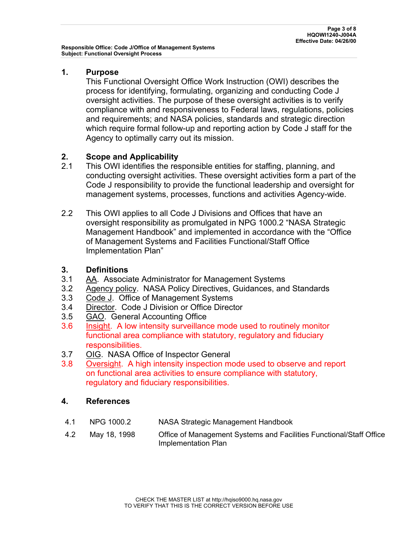#### **1. Purpose**

This Functional Oversight Office Work Instruction (OWI) describes the process for identifying, formulating, organizing and conducting Code J oversight activities. The purpose of these oversight activities is to verify compliance with and responsiveness to Federal laws, regulations, policies and requirements; and NASA policies, standards and strategic direction which require formal follow-up and reporting action by Code J staff for the Agency to optimally carry out its mission.

# **2. Scope and Applicability**<br>2.1 This OWI identifies the res

- This OWI identifies the responsible entities for staffing, planning, and conducting oversight activities. These oversight activities form a part of the Code J responsibility to provide the functional leadership and oversight for management systems, processes, functions and activities Agency-wide.
- 2.2 This OWI applies to all Code J Divisions and Offices that have an oversight responsibility as promulgated in NPG 1000.2 "NASA Strategic Management Handbook" and implemented in accordance with the "Office of Management Systems and Facilities Functional/Staff Office Implementation Plan"

#### **3. Definitions**

- 3.1 AA. Associate Administrator for Management Systems
- 3.2 Agency policy. NASA Policy Directives, Guidances, and Standards
- 3.3 Code J. Office of Management Systems
- 3.4 Director. Code J Division or Office Director
- 3.5 GAO. General Accounting Office
- 3.6 Insight. A low intensity surveillance mode used to routinely monitor functional area compliance with statutory, regulatory and fiduciary responsibilities.
- 3.7 OIG. NASA Office of Inspector General
- 3.8 Oversight. A high intensity inspection mode used to observe and report on functional area activities to ensure compliance with statutory, regulatory and fiduciary responsibilities.

#### **4. References**

- 4.1 NPG 1000.2 NASA Strategic Management Handbook
- 4.2 May 18, 1998 Office of Management Systems and Facilities Functional/Staff Office Implementation Plan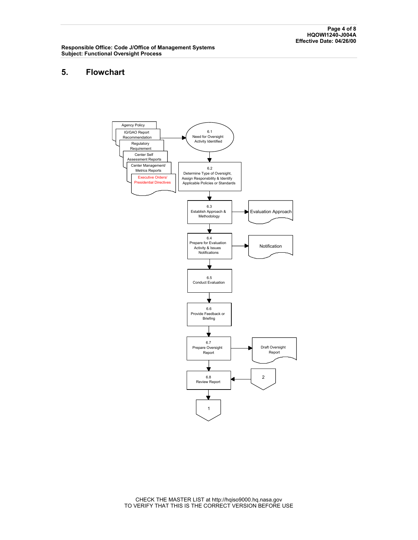#### **5. Flowchart**

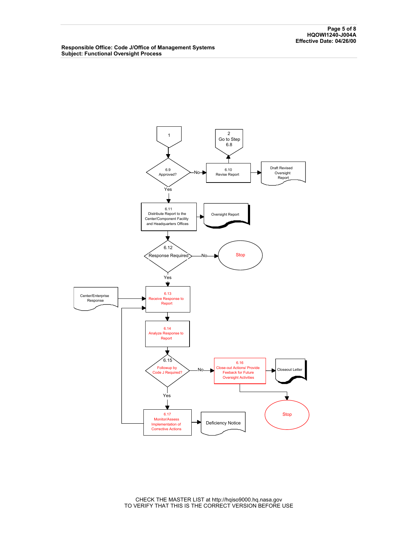

CHECK THE MASTER LIST at http://hqiso9000.hq.nasa.gov TO VERIFY THAT THIS IS THE CORRECT VERSION BEFORE USE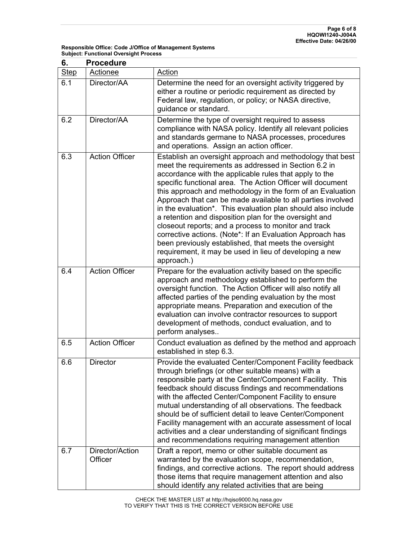| 6.          | <b>Procedure</b>           |                                                                                                                                                                                                                                                                                                                                                                                                                                                                                                                                                                                                                                                                                                                                                         |  |  |  |
|-------------|----------------------------|---------------------------------------------------------------------------------------------------------------------------------------------------------------------------------------------------------------------------------------------------------------------------------------------------------------------------------------------------------------------------------------------------------------------------------------------------------------------------------------------------------------------------------------------------------------------------------------------------------------------------------------------------------------------------------------------------------------------------------------------------------|--|--|--|
| <b>Step</b> | Actionee                   | Action                                                                                                                                                                                                                                                                                                                                                                                                                                                                                                                                                                                                                                                                                                                                                  |  |  |  |
| 6.1         | Director/AA                | Determine the need for an oversight activity triggered by<br>either a routine or periodic requirement as directed by<br>Federal law, regulation, or policy; or NASA directive,<br>guidance or standard.                                                                                                                                                                                                                                                                                                                                                                                                                                                                                                                                                 |  |  |  |
| 6.2         | Director/AA                | Determine the type of oversight required to assess<br>compliance with NASA policy. Identify all relevant policies<br>and standards germane to NASA processes, procedures<br>and operations. Assign an action officer.                                                                                                                                                                                                                                                                                                                                                                                                                                                                                                                                   |  |  |  |
| 6.3         | <b>Action Officer</b>      | Establish an oversight approach and methodology that best<br>meet the requirements as addressed in Section 6.2 in<br>accordance with the applicable rules that apply to the<br>specific functional area. The Action Officer will document<br>this approach and methodology in the form of an Evaluation<br>Approach that can be made available to all parties involved<br>in the evaluation*. This evaluation plan should also include<br>a retention and disposition plan for the oversight and<br>closeout reports; and a process to monitor and track<br>corrective actions. (Note*: If an Evaluation Approach has<br>been previously established, that meets the oversight<br>requirement, it may be used in lieu of developing a new<br>approach.) |  |  |  |
| 6.4         | <b>Action Officer</b>      | Prepare for the evaluation activity based on the specific<br>approach and methodology established to perform the<br>oversight function. The Action Officer will also notify all<br>affected parties of the pending evaluation by the most<br>appropriate means. Preparation and execution of the<br>evaluation can involve contractor resources to support<br>development of methods, conduct evaluation, and to<br>perform analyses                                                                                                                                                                                                                                                                                                                    |  |  |  |
| 6.5         | <b>Action Officer</b>      | Conduct evaluation as defined by the method and approach<br>established in step 6.3.                                                                                                                                                                                                                                                                                                                                                                                                                                                                                                                                                                                                                                                                    |  |  |  |
| 6.6         | <b>Director</b>            | Provide the evaluated Center/Component Facility feedback<br>through briefings (or other suitable means) with a<br>responsible party at the Center/Component Facility. This<br>feedback should discuss findings and recommendations<br>with the affected Center/Component Facility to ensure<br>mutual understanding of all observations. The feedback<br>should be of sufficient detail to leave Center/Component<br>Facility management with an accurate assessment of local<br>activities and a clear understanding of significant findings<br>and recommendations requiring management attention                                                                                                                                                     |  |  |  |
| 6.7         | Director/Action<br>Officer | Draft a report, memo or other suitable document as<br>warranted by the evaluation scope, recommendation,<br>findings, and corrective actions. The report should address<br>those items that require management attention and also<br>should identify any related activities that are being                                                                                                                                                                                                                                                                                                                                                                                                                                                              |  |  |  |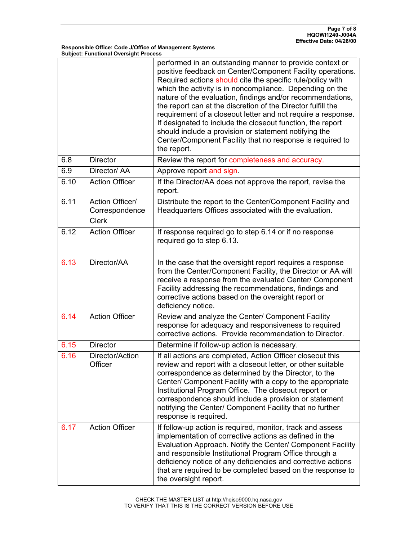|      |                                                   | performed in an outstanding manner to provide context or<br>positive feedback on Center/Component Facility operations.<br>Required actions should cite the specific rule/policy with<br>which the activity is in noncompliance. Depending on the<br>nature of the evaluation, findings and/or recommendations,<br>the report can at the discretion of the Director fulfill the<br>requirement of a closeout letter and not require a response.<br>If designated to include the closeout function, the report<br>should include a provision or statement notifying the<br>Center/Component Facility that no response is required to<br>the report. |
|------|---------------------------------------------------|---------------------------------------------------------------------------------------------------------------------------------------------------------------------------------------------------------------------------------------------------------------------------------------------------------------------------------------------------------------------------------------------------------------------------------------------------------------------------------------------------------------------------------------------------------------------------------------------------------------------------------------------------|
| 6.8  | <b>Director</b>                                   | Review the report for completeness and accuracy.                                                                                                                                                                                                                                                                                                                                                                                                                                                                                                                                                                                                  |
| 6.9  | Director/ AA                                      | Approve report and sign.                                                                                                                                                                                                                                                                                                                                                                                                                                                                                                                                                                                                                          |
| 6.10 | <b>Action Officer</b>                             | If the Director/AA does not approve the report, revise the<br>report.                                                                                                                                                                                                                                                                                                                                                                                                                                                                                                                                                                             |
| 6.11 | Action Officer/<br>Correspondence<br><b>Clerk</b> | Distribute the report to the Center/Component Facility and<br>Headquarters Offices associated with the evaluation.                                                                                                                                                                                                                                                                                                                                                                                                                                                                                                                                |
| 6.12 | <b>Action Officer</b>                             | If response required go to step 6.14 or if no response<br>required go to step 6.13.                                                                                                                                                                                                                                                                                                                                                                                                                                                                                                                                                               |
|      |                                                   |                                                                                                                                                                                                                                                                                                                                                                                                                                                                                                                                                                                                                                                   |
| 6.13 | Director/AA                                       | In the case that the oversight report requires a response<br>from the Center/Component Facility, the Director or AA will<br>receive a response from the evaluated Center/ Component<br>Facility addressing the recommendations, findings and<br>corrective actions based on the oversight report or<br>deficiency notice.                                                                                                                                                                                                                                                                                                                         |
| 6.14 | <b>Action Officer</b>                             | Review and analyze the Center/ Component Facility<br>response for adequacy and responsiveness to required<br>corrective actions. Provide recommendation to Director.                                                                                                                                                                                                                                                                                                                                                                                                                                                                              |
| 6.15 | <b>Director</b>                                   | Determine if follow-up action is necessary.                                                                                                                                                                                                                                                                                                                                                                                                                                                                                                                                                                                                       |
| 6.16 | Director/Action<br>Officer                        | If all actions are completed, Action Officer closeout this<br>review and report with a closeout letter, or other suitable<br>correspondence as determined by the Director, to the<br>Center/ Component Facility with a copy to the appropriate<br>Institutional Program Office. The closeout report or<br>correspondence should include a provision or statement<br>notifying the Center/ Component Facility that no further<br>response is required.                                                                                                                                                                                             |
| 6.17 | <b>Action Officer</b>                             | If follow-up action is required, monitor, track and assess<br>implementation of corrective actions as defined in the<br>Evaluation Approach. Notify the Center/ Component Facility<br>and responsible Institutional Program Office through a<br>deficiency notice of any deficiencies and corrective actions<br>that are required to be completed based on the response to<br>the oversight report.                                                                                                                                                                                                                                               |